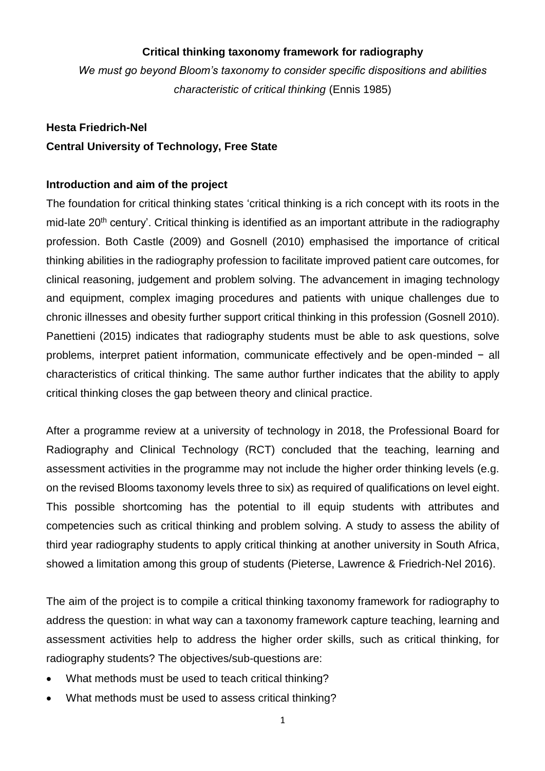## **Critical thinking taxonomy framework for radiography**

*We must go beyond Bloom's taxonomy to consider specific dispositions and abilities characteristic of critical thinking* (Ennis 1985)

# **Hesta Friedrich-Nel Central University of Technology, Free State**

## **Introduction and aim of the project**

The foundation for critical thinking states 'critical thinking is a rich concept with its roots in the mid-late 20<sup>th</sup> century'. Critical thinking is identified as an important attribute in the radiography profession. Both Castle (2009) and Gosnell (2010) emphasised the importance of critical thinking abilities in the radiography profession to facilitate improved patient care outcomes, for clinical reasoning, judgement and problem solving. The advancement in imaging technology and equipment, complex imaging procedures and patients with unique challenges due to chronic illnesses and obesity further support critical thinking in this profession (Gosnell 2010). Panettieni (2015) indicates that radiography students must be able to ask questions, solve problems, interpret patient information, communicate effectively and be open-minded − all characteristics of critical thinking. The same author further indicates that the ability to apply critical thinking closes the gap between theory and clinical practice.

After a programme review at a university of technology in 2018, the Professional Board for Radiography and Clinical Technology (RCT) concluded that the teaching, learning and assessment activities in the programme may not include the higher order thinking levels (e.g. on the revised Blooms taxonomy levels three to six) as required of qualifications on level eight. This possible shortcoming has the potential to ill equip students with attributes and competencies such as critical thinking and problem solving. A study to assess the ability of third year radiography students to apply critical thinking at another university in South Africa, showed a limitation among this group of students (Pieterse, Lawrence & Friedrich-Nel 2016).

The aim of the project is to compile a critical thinking taxonomy framework for radiography to address the question: in what way can a taxonomy framework capture teaching, learning and assessment activities help to address the higher order skills, such as critical thinking, for radiography students? The objectives/sub-questions are:

- What methods must be used to teach critical thinking?
- What methods must be used to assess critical thinking?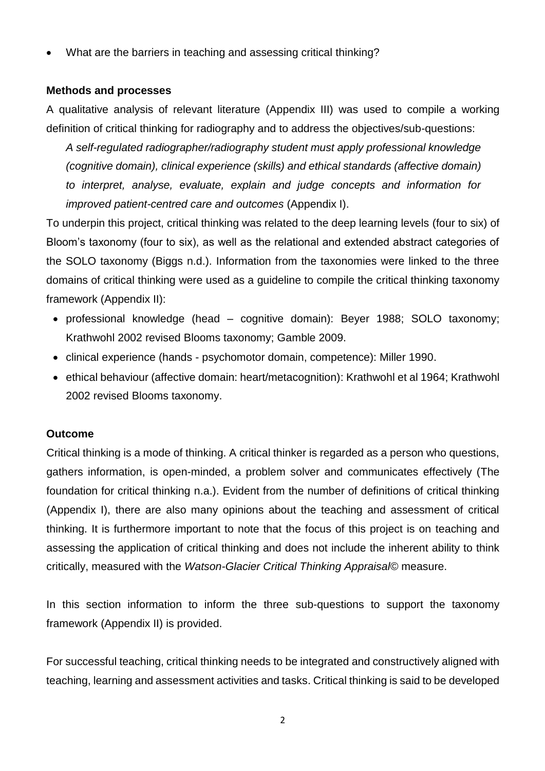What are the barriers in teaching and assessing critical thinking?

# **Methods and processes**

A qualitative analysis of relevant literature (Appendix III) was used to compile a working definition of critical thinking for radiography and to address the objectives/sub-questions:

*A self-regulated radiographer/radiography student must apply professional knowledge (cognitive domain), clinical experience (skills) and ethical standards (affective domain) to interpret, analyse, evaluate, explain and judge concepts and information for improved patient-centred care and outcomes* (Appendix I).

To underpin this project, critical thinking was related to the deep learning levels (four to six) of Bloom's taxonomy (four to six), as well as the relational and extended abstract categories of the SOLO taxonomy (Biggs n.d.). Information from the taxonomies were linked to the three domains of critical thinking were used as a guideline to compile the critical thinking taxonomy framework (Appendix II):

- professional knowledge (head cognitive domain): Beyer 1988; SOLO taxonomy; Krathwohl 2002 revised Blooms taxonomy; Gamble 2009.
- clinical experience (hands psychomotor domain, competence): Miller 1990.
- ethical behaviour (affective domain: heart/metacognition): Krathwohl et al 1964; Krathwohl 2002 revised Blooms taxonomy.

#### **Outcome**

Critical thinking is a mode of thinking. A critical thinker is regarded as a person who questions, gathers information, is open-minded, a problem solver and communicates effectively (The foundation for critical thinking n.a.). Evident from the number of definitions of critical thinking (Appendix I), there are also many opinions about the teaching and assessment of critical thinking. It is furthermore important to note that the focus of this project is on teaching and assessing the application of critical thinking and does not include the inherent ability to think critically, measured with the *Watson-Glacier Critical Thinking Appraisal©* measure.

In this section information to inform the three sub-questions to support the taxonomy framework (Appendix II) is provided.

For successful teaching, critical thinking needs to be integrated and constructively aligned with teaching, learning and assessment activities and tasks. Critical thinking is said to be developed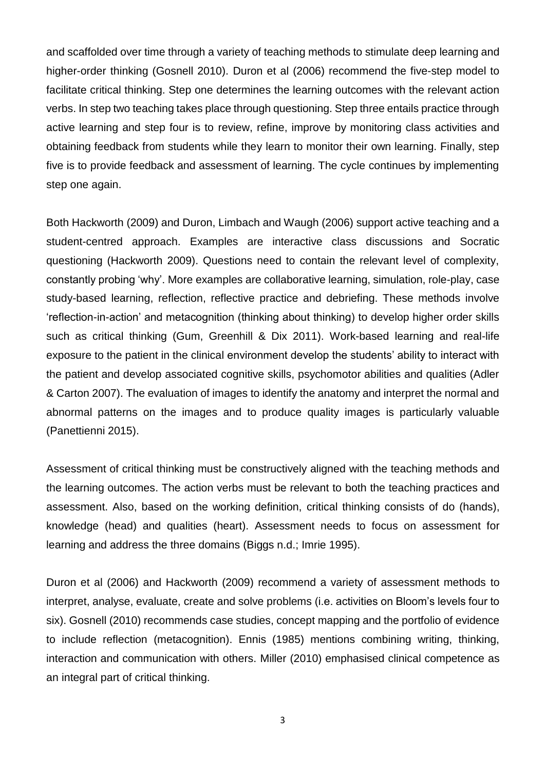and scaffolded over time through a variety of teaching methods to stimulate deep learning and higher-order thinking (Gosnell 2010). Duron et al (2006) recommend the five-step model to facilitate critical thinking. Step one determines the learning outcomes with the relevant action verbs. In step two teaching takes place through questioning. Step three entails practice through active learning and step four is to review, refine, improve by monitoring class activities and obtaining feedback from students while they learn to monitor their own learning. Finally, step five is to provide feedback and assessment of learning. The cycle continues by implementing step one again.

Both Hackworth (2009) and Duron, Limbach and Waugh (2006) support active teaching and a student-centred approach. Examples are interactive class discussions and Socratic questioning (Hackworth 2009). Questions need to contain the relevant level of complexity, constantly probing 'why'. More examples are collaborative learning, simulation, role-play, case study-based learning, reflection, reflective practice and debriefing. These methods involve 'reflection-in-action' and metacognition (thinking about thinking) to develop higher order skills such as critical thinking (Gum, Greenhill & Dix 2011). Work-based learning and real-life exposure to the patient in the clinical environment develop the students' ability to interact with the patient and develop associated cognitive skills, psychomotor abilities and qualities (Adler & Carton 2007). The evaluation of images to identify the anatomy and interpret the normal and abnormal patterns on the images and to produce quality images is particularly valuable (Panettienni 2015).

Assessment of critical thinking must be constructively aligned with the teaching methods and the learning outcomes. The action verbs must be relevant to both the teaching practices and assessment. Also, based on the working definition, critical thinking consists of do (hands), knowledge (head) and qualities (heart). Assessment needs to focus on assessment for learning and address the three domains (Biggs n.d.; Imrie 1995).

Duron et al (2006) and Hackworth (2009) recommend a variety of assessment methods to interpret, analyse, evaluate, create and solve problems (i.e. activities on Bloom's levels four to six). Gosnell (2010) recommends case studies, concept mapping and the portfolio of evidence to include reflection (metacognition). Ennis (1985) mentions combining writing, thinking, interaction and communication with others. Miller (2010) emphasised clinical competence as an integral part of critical thinking.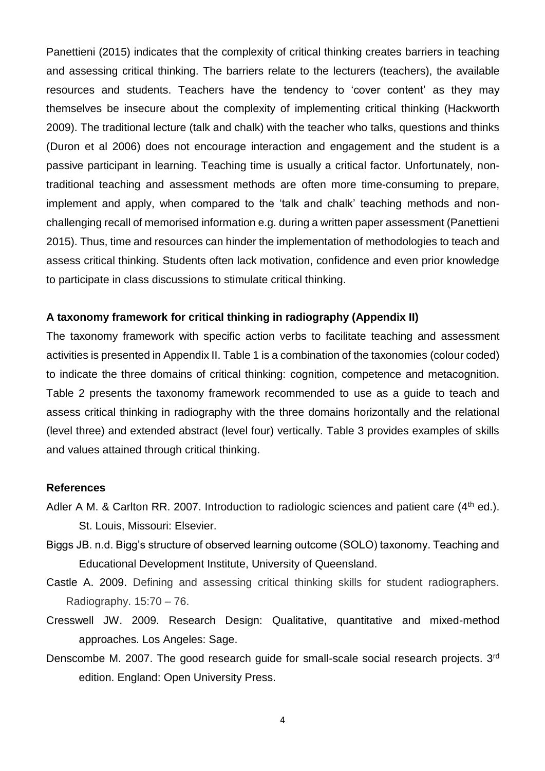Panettieni (2015) indicates that the complexity of critical thinking creates barriers in teaching and assessing critical thinking. The barriers relate to the lecturers (teachers), the available resources and students. Teachers have the tendency to 'cover content' as they may themselves be insecure about the complexity of implementing critical thinking (Hackworth 2009). The traditional lecture (talk and chalk) with the teacher who talks, questions and thinks (Duron et al 2006) does not encourage interaction and engagement and the student is a passive participant in learning. Teaching time is usually a critical factor. Unfortunately, nontraditional teaching and assessment methods are often more time-consuming to prepare, implement and apply, when compared to the 'talk and chalk' teaching methods and nonchallenging recall of memorised information e.g. during a written paper assessment (Panettieni 2015). Thus, time and resources can hinder the implementation of methodologies to teach and assess critical thinking. Students often lack motivation, confidence and even prior knowledge to participate in class discussions to stimulate critical thinking.

#### **A taxonomy framework for critical thinking in radiography (Appendix II)**

The taxonomy framework with specific action verbs to facilitate teaching and assessment activities is presented in Appendix II. Table 1 is a combination of the taxonomies (colour coded) to indicate the three domains of critical thinking: cognition, competence and metacognition. Table 2 presents the taxonomy framework recommended to use as a guide to teach and assess critical thinking in radiography with the three domains horizontally and the relational (level three) and extended abstract (level four) vertically. Table 3 provides examples of skills and values attained through critical thinking.

#### **References**

- Adler A M. & Carlton RR. 2007. Introduction to radiologic sciences and patient care  $(4<sup>th</sup>$  ed.). St. Louis, Missouri: Elsevier.
- Biggs JB. n.d. Bigg's structure of observed learning outcome (SOLO) taxonomy. Teaching and Educational Development Institute, University of Queensland.
- Castle A. 2009. Defining and assessing critical thinking skills for student radiographers. Radiography.  $15:70 - 76$ .
- Cresswell JW. 2009. Research Design: Qualitative, quantitative and mixed-method approaches. Los Angeles: Sage.
- Denscombe M. 2007. The good research guide for small-scale social research projects. 3<sup>rd</sup> edition. England: Open University Press.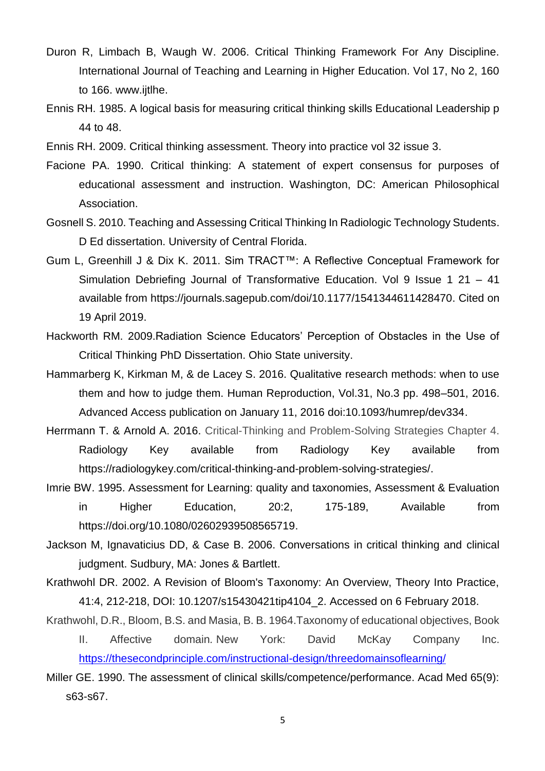- Duron R, Limbach B, Waugh W. 2006. Critical Thinking Framework For Any Discipline. International Journal of Teaching and Learning in Higher Education. Vol 17, No 2, 160 to 166. www.ijtlhe.
- [Ennis](file:///C:/ennis) RH. 1985. A logical basis for measuring critical thinking skills Educational Leadership p 44 to 48.
- Ennis RH. 2009. Critical thinking assessment. Theory into practice vol 32 issue 3.
- Facione PA. 1990. Critical thinking: A statement of expert consensus for purposes of educational assessment and instruction. Washington, DC: American Philosophical Association.
- Gosnell S. 2010. Teaching and Assessing Critical Thinking In Radiologic Technology Students. D Ed dissertation. University of Central Florida.
- Gum L, Greenhill J & Dix K. 2011. Sim TRACT™: A Reflective Conceptual Framework for Simulation Debriefing Journal of Transformative Education. Vol 9 Issue 1 21 – 41 available from [https://journals.sagepub.com/doi/10.1177/1541344611428470.](https://journals.sagepub.com/doi/10.1177/1541344611428470) Cited on 19 April 2019.
- Hackworth RM. 2009.Radiation Science Educators' Perception of Obstacles in the Use of Critical Thinking PhD Dissertation. Ohio State university.
- Hammarberg K, Kirkman M, & de Lacey S. 2016. Qualitative research methods: when to use them and how to judge them. Human Reproduction, Vol.31, No.3 pp. 498–501, 2016. Advanced Access publication on January 11, 2016 doi:10.1093/humrep/dev334.
- Herrmann T. & Arnold A. 2016. Critical-Thinking and Problem-Solving Strategies Chapter 4. Radiology Key available from Radiology Key available from [https://radiologykey.com/critical-thinking-and-problem-solving-strategies/.](https://radiologykey.com/critical-thinking-and-problem-solving-strategies/)
- Imrie BW. 1995. Assessment for Learning: quality and taxonomies, Assessment & Evaluation in Higher Education, 20:2, 175-189, Available from https://doi.org/10.1080/02602939508565719.
- Jackson M, Ignavaticius DD, & Case B. 2006. Conversations in critical thinking and clinical judgment. Sudbury, MA: Jones & Bartlett.
- Krathwohl DR. 2002. A Revision of Bloom's Taxonomy: An Overview, Theory Into Practice, 41:4, 212-218, DOI: 10.1207/s15430421tip4104\_2. Accessed on 6 February 2018.
- Krathwohl, D.R., Bloom, B.S. and Masia, B. B. 1964.Taxonomy of educational objectives, Book
	- II. Affective domain*.* New York: David McKay Company Inc. <https://thesecondprinciple.com/instructional-design/threedomainsoflearning/>
- Miller GE. 1990. The assessment of clinical skills/competence/performance. Acad Med 65(9): s63-s67.